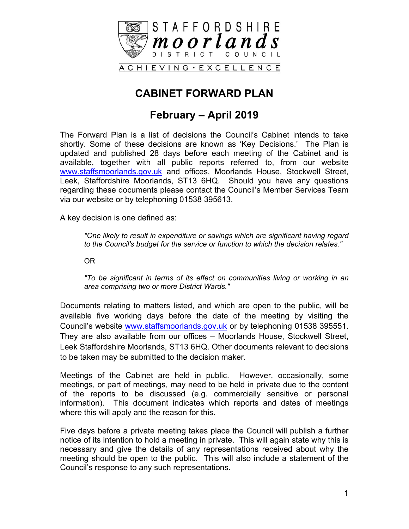

# **CABINET FORWARD PLAN**

### **February – April 2019**

The Forward Plan is a list of decisions the Council's Cabinet intends to take shortly. Some of these decisions are known as 'Key Decisions.' The Plan is updated and published 28 days before each meeting of the Cabinet and is available, together with all public reports referred to, from our website [www.staffsmoorlands.gov.uk](http://www.staffsmoorlands.gov.uk/) and offices, Moorlands House, Stockwell Street, Leek, Staffordshire Moorlands, ST13 6HQ. Should you have any questions regarding these documents please contact the Council's Member Services Team via our website or by telephoning 01538 395613.

A key decision is one defined as:

*"One likely to result in expenditure or savings which are significant having regard to the Council's budget for the service or function to which the decision relates."*

OR

*"To be significant in terms of its effect on communities living or working in an area comprising two or more District Wards."*

Documents relating to matters listed, and which are open to the public, will be available five working days before the date of the meeting by visiting the Council's website [www.staffsmoorlands.gov.uk](http://www.staffsmoorlands.gov.uk/) or by telephoning 01538 395551. They are also available from our offices – Moorlands House, Stockwell Street, Leek Staffordshire Moorlands, ST13 6HQ. Other documents relevant to decisions to be taken may be submitted to the decision maker.

Meetings of the Cabinet are held in public. However, occasionally, some meetings, or part of meetings, may need to be held in private due to the content of the reports to be discussed (e.g. commercially sensitive or personal information). This document indicates which reports and dates of meetings where this will apply and the reason for this.

Five days before a private meeting takes place the Council will publish a further notice of its intention to hold a meeting in private. This will again state why this is necessary and give the details of any representations received about why the meeting should be open to the public. This will also include a statement of the Council's response to any such representations.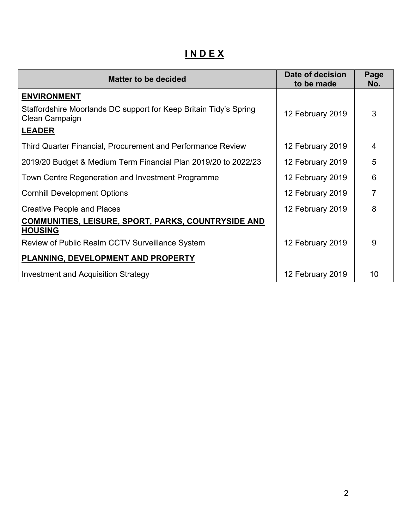**I N D E X**

| <b>Matter to be decided</b>                                                         | Date of decision<br>to be made | Page<br>No.    |
|-------------------------------------------------------------------------------------|--------------------------------|----------------|
| <b>ENVIRONMENT</b>                                                                  |                                |                |
| Staffordshire Moorlands DC support for Keep Britain Tidy's Spring<br>Clean Campaign | 12 February 2019               | 3              |
| <b>LEADER</b>                                                                       |                                |                |
| Third Quarter Financial, Procurement and Performance Review                         | 12 February 2019               | $\overline{4}$ |
| 2019/20 Budget & Medium Term Financial Plan 2019/20 to 2022/23                      | 12 February 2019               | 5              |
| Town Centre Regeneration and Investment Programme                                   | 12 February 2019               | 6              |
| <b>Cornhill Development Options</b>                                                 | 12 February 2019               | 7              |
| <b>Creative People and Places</b>                                                   | 12 February 2019               | 8              |
| <b>COMMUNITIES, LEISURE, SPORT, PARKS, COUNTRYSIDE AND</b><br><b>HOUSING</b>        |                                |                |
| Review of Public Realm CCTV Surveillance System                                     | 12 February 2019               | 9              |
| PLANNING, DEVELOPMENT AND PROPERTY                                                  |                                |                |
| Investment and Acquisition Strategy                                                 | 12 February 2019               | 10             |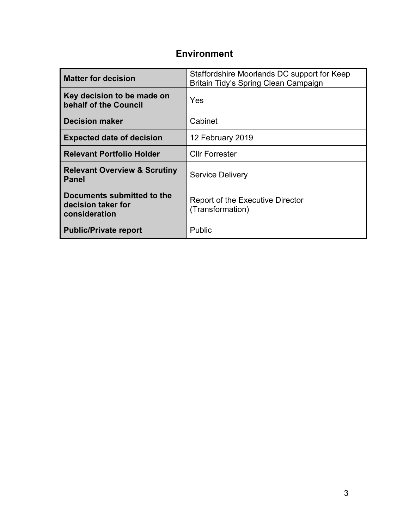### **Environment**

| <b>Matter for decision</b>                                        | Staffordshire Moorlands DC support for Keep<br>Britain Tidy's Spring Clean Campaign |
|-------------------------------------------------------------------|-------------------------------------------------------------------------------------|
| Key decision to be made on<br>behalf of the Council               | Yes                                                                                 |
| <b>Decision maker</b>                                             | Cabinet                                                                             |
| <b>Expected date of decision</b>                                  | 12 February 2019                                                                    |
| <b>Relevant Portfolio Holder</b>                                  | <b>Cllr Forrester</b>                                                               |
| <b>Relevant Overview &amp; Scrutiny</b><br><b>Panel</b>           | <b>Service Delivery</b>                                                             |
| Documents submitted to the<br>decision taker for<br>consideration | <b>Report of the Executive Director</b><br>(Transformation)                         |
| <b>Public/Private report</b>                                      | Public                                                                              |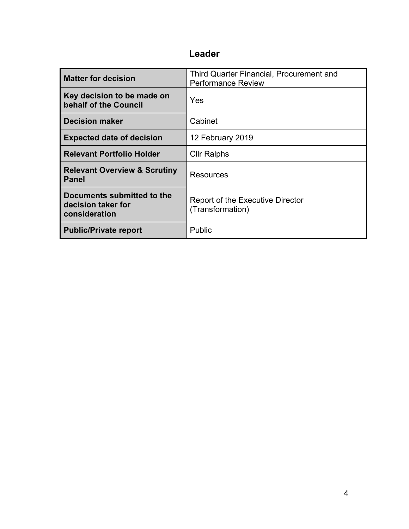| <b>Matter for decision</b>                                        | Third Quarter Financial, Procurement and<br><b>Performance Review</b> |
|-------------------------------------------------------------------|-----------------------------------------------------------------------|
| Key decision to be made on<br>behalf of the Council               | Yes                                                                   |
| <b>Decision maker</b>                                             | Cabinet                                                               |
| <b>Expected date of decision</b>                                  | 12 February 2019                                                      |
| <b>Relevant Portfolio Holder</b>                                  | <b>Cllr Ralphs</b>                                                    |
| <b>Relevant Overview &amp; Scrutiny</b><br><b>Panel</b>           | Resources                                                             |
| Documents submitted to the<br>decision taker for<br>consideration | <b>Report of the Executive Director</b><br>(Transformation)           |
| <b>Public/Private report</b>                                      | Public                                                                |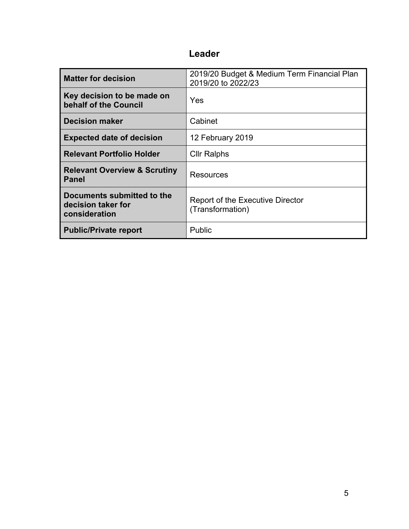| <b>Matter for decision</b>                                        | 2019/20 Budget & Medium Term Financial Plan<br>2019/20 to 2022/23 |
|-------------------------------------------------------------------|-------------------------------------------------------------------|
| Key decision to be made on<br>behalf of the Council               | Yes                                                               |
| <b>Decision maker</b>                                             | Cabinet                                                           |
| <b>Expected date of decision</b>                                  | 12 February 2019                                                  |
| <b>Relevant Portfolio Holder</b>                                  | <b>Cllr Ralphs</b>                                                |
| <b>Relevant Overview &amp; Scrutiny</b><br><b>Panel</b>           | Resources                                                         |
| Documents submitted to the<br>decision taker for<br>consideration | <b>Report of the Executive Director</b><br>(Transformation)       |
| <b>Public/Private report</b>                                      | Public                                                            |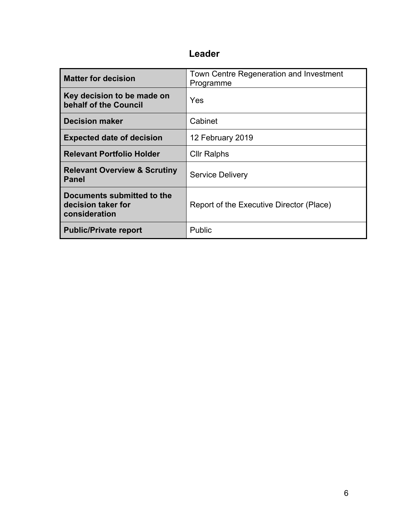| <b>Matter for decision</b>                                        | Town Centre Regeneration and Investment<br>Programme |
|-------------------------------------------------------------------|------------------------------------------------------|
| Key decision to be made on<br>behalf of the Council               | Yes                                                  |
| <b>Decision maker</b>                                             | Cabinet                                              |
| <b>Expected date of decision</b>                                  | 12 February 2019                                     |
| <b>Relevant Portfolio Holder</b>                                  | <b>Cllr Ralphs</b>                                   |
| <b>Relevant Overview &amp; Scrutiny</b><br><b>Panel</b>           | <b>Service Delivery</b>                              |
| Documents submitted to the<br>decision taker for<br>consideration | Report of the Executive Director (Place)             |
| <b>Public/Private report</b>                                      | Public                                               |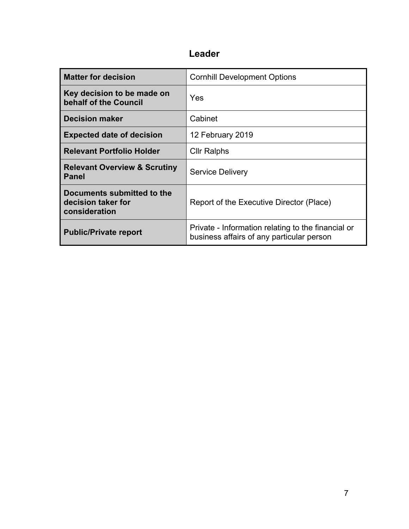| <b>Matter for decision</b>                                        | <b>Cornhill Development Options</b>                                                             |
|-------------------------------------------------------------------|-------------------------------------------------------------------------------------------------|
| Key decision to be made on<br>behalf of the Council               | Yes                                                                                             |
| <b>Decision maker</b>                                             | Cabinet                                                                                         |
| <b>Expected date of decision</b>                                  | 12 February 2019                                                                                |
| <b>Relevant Portfolio Holder</b>                                  | <b>Cllr Ralphs</b>                                                                              |
| <b>Relevant Overview &amp; Scrutiny</b><br><b>Panel</b>           | <b>Service Delivery</b>                                                                         |
| Documents submitted to the<br>decision taker for<br>consideration | Report of the Executive Director (Place)                                                        |
| <b>Public/Private report</b>                                      | Private - Information relating to the financial or<br>business affairs of any particular person |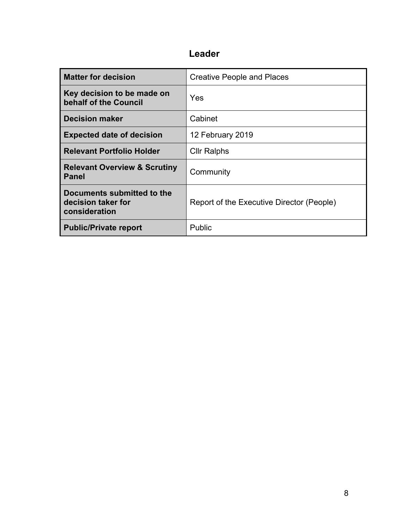| <b>Matter for decision</b>                                        | <b>Creative People and Places</b>         |
|-------------------------------------------------------------------|-------------------------------------------|
| Key decision to be made on<br>behalf of the Council               | Yes                                       |
| <b>Decision maker</b>                                             | Cabinet                                   |
| <b>Expected date of decision</b>                                  | 12 February 2019                          |
| <b>Relevant Portfolio Holder</b>                                  | <b>Cllr Ralphs</b>                        |
| <b>Relevant Overview &amp; Scrutiny</b><br><b>Panel</b>           | Community                                 |
| Documents submitted to the<br>decision taker for<br>consideration | Report of the Executive Director (People) |
| <b>Public/Private report</b>                                      | Public                                    |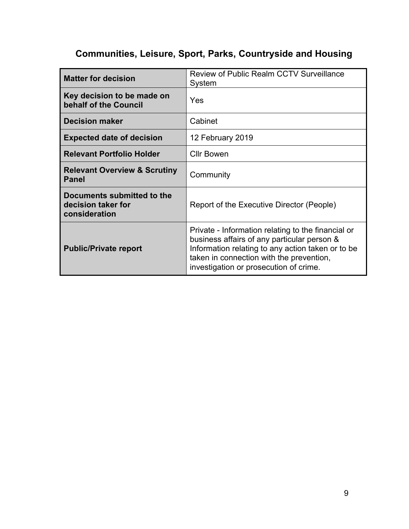# **Communities, Leisure, Sport, Parks, Countryside and Housing**

| <b>Matter for decision</b>                                        | <b>Review of Public Realm CCTV Surveillance</b><br>System                                                                                                                                                                                    |
|-------------------------------------------------------------------|----------------------------------------------------------------------------------------------------------------------------------------------------------------------------------------------------------------------------------------------|
| Key decision to be made on<br>behalf of the Council               | Yes                                                                                                                                                                                                                                          |
| <b>Decision maker</b>                                             | Cabinet                                                                                                                                                                                                                                      |
| <b>Expected date of decision</b>                                  | 12 February 2019                                                                                                                                                                                                                             |
| <b>Relevant Portfolio Holder</b>                                  | <b>Cllr Bowen</b>                                                                                                                                                                                                                            |
| <b>Relevant Overview &amp; Scrutiny</b><br><b>Panel</b>           | Community                                                                                                                                                                                                                                    |
| Documents submitted to the<br>decision taker for<br>consideration | Report of the Executive Director (People)                                                                                                                                                                                                    |
| <b>Public/Private report</b>                                      | Private - Information relating to the financial or<br>business affairs of any particular person &<br>Information relating to any action taken or to be<br>taken in connection with the prevention,<br>investigation or prosecution of crime. |